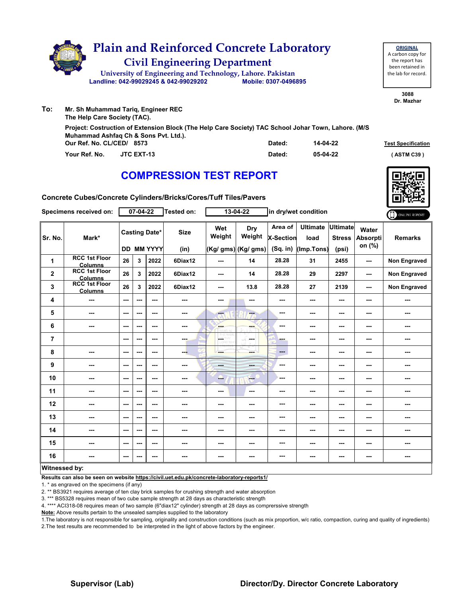

**3088 Dr. Mazhar**

| Mr. Sh Munammad Tariq, Engineer REC<br>The Help Care Society (TAC).                                                                          |        |          |                           |
|----------------------------------------------------------------------------------------------------------------------------------------------|--------|----------|---------------------------|
| Project: Costruction of Extension Block (The Help Care Society) TAC School Johar Town, Lahore. (M/S<br>Muhammad Ashfaq Ch & Sons Pvt. Ltd.). |        |          |                           |
| Our Ref. No. CL/CED/ 8573                                                                                                                    | Dated: | 14-04-22 | <b>Test Specification</b> |
| Your Ref. No.<br><b>JTC EXT-13</b>                                                                                                           | Dated: | 05-04-22 | (ASTM C39)                |

### **COMPRESSION TEST REPORT**



**Concrete Cubes/Concrete Cylinders/Bricks/Cores/Tuff Tiles/Pavers**

| Specimens received on: |                                        | 07-04-22      |     |                                           | Tested on:               |                             | 13-04-22                             | in dry/wet condition                      |                                       |                                           |                                    | ONLINE REPORT       |
|------------------------|----------------------------------------|---------------|-----|-------------------------------------------|--------------------------|-----------------------------|--------------------------------------|-------------------------------------------|---------------------------------------|-------------------------------------------|------------------------------------|---------------------|
| Sr. No.                | Mark*                                  |               |     | <b>Casting Date*</b><br><b>DD MM YYYY</b> | <b>Size</b><br>(in)      | Wet<br>Weight               | Dry<br>Weight<br>(Kg/ gms) (Kg/ gms) | Area of<br><b>X-Section</b><br>$(Sq.$ in) | <b>Ultimate</b><br>load<br>(Imp.Tons) | <b>Ultimate</b><br><b>Stress</b><br>(psi) | Water<br><b>Absorpti</b><br>on (%) | <b>Remarks</b>      |
| 1                      | <b>RCC 1st Floor</b><br><b>Columns</b> | 26            | 3   | 2022                                      | 6Diax12                  | ---                         | 14                                   | 28.28                                     | 31                                    | 2455                                      | ---                                | Non Engraved        |
| $\mathbf{2}$           | <b>RCC 1st Floor</b><br>Columns        | 26            | 3   | 2022                                      | 6Diax12                  | ---                         | 14                                   | 28.28                                     | 29                                    | 2297                                      | ---                                | <b>Non Engraved</b> |
| 3                      | <b>RCC 1st Floor</b><br><b>Columns</b> | 26            | 3   | 2022                                      | 6Diax12                  | ---                         | 13.8                                 | 28.28                                     | 27                                    | 2139                                      | ---                                | <b>Non Engraved</b> |
| 4                      | ---                                    | $--$          | --- | $--$                                      | ---                      | ---                         |                                      | ---                                       | ---                                   | ---                                       | ---                                | ---                 |
| 5                      | ---                                    | ---           | --- | ---                                       | ---                      | ---                         | ---                                  | ---                                       | ---                                   | ---                                       | ---                                | ---                 |
| 6                      | ---                                    | $- - -$       | --- | $- - -$                                   | $\cdots$                 | <b>SHOP</b><br><b>READ!</b> | ---                                  | ---                                       | ---                                   | $--$                                      | ---                                | ---                 |
| $\overline{7}$         |                                        | ---           | --- | ---                                       | ---                      | L.                          | <b>Service</b>                       | ---                                       | ---                                   | ---                                       | ---                                | ---                 |
| 8                      | ---                                    | $--$          | --- | ---                                       | ---                      | ---                         | ---                                  | ---                                       | ---                                   | ---                                       | ---                                | ---                 |
| 9                      | ---                                    | $--$          | --- | $--$                                      | ---                      | <b>Barbara</b>              | ---                                  | ---                                       | ---                                   | ---                                       | ---                                | ---                 |
| 10                     | $\overline{\phantom{a}}$               | $\sim$ $\sim$ | --- | $--$                                      | ---                      | ---                         | $-$                                  | ---                                       | ---                                   | ---                                       | ---                                | ---                 |
| 11                     | ---                                    | ---           | --- | ---                                       | ---                      | ---                         | $\sim$                               | ---                                       | ---                                   | ---                                       | ---                                | ---                 |
| 12                     | ---                                    | $- - -$       | --- | $- - -$                                   | ---                      | ---                         | ---                                  | ---                                       | ---                                   | ---                                       | ---                                | ---                 |
| 13                     | $- - -$                                | $- - -$       | --- | ---                                       | ---                      | ---                         | ---                                  | ---                                       | ---                                   | ---                                       | ---                                | ---                 |
| 14                     | ---                                    | $--$          | --- | ---                                       | $\overline{\phantom{a}}$ | ---                         | ---                                  | ---                                       | ---                                   | ---                                       | ---                                | ---                 |
| 15                     | ---                                    | ---           | --- | ---                                       | ---                      | ---                         |                                      | ---                                       | ---                                   | ---                                       | ---                                | ---                 |
| 16                     | $\sim$                                 | $- - -$       | --- | ---                                       | $\sim$                   | ---                         | ---                                  | ---                                       | ---                                   | ---                                       | ---                                | ---                 |
| Witnessed by:          |                                        |               |     |                                           |                          |                             |                                      |                                           |                                       |                                           |                                    |                     |

**Results can also be seen on website https://civil.uet.edu.pk/concrete-laboratory-reports1/**

1. \* as engraved on the specimens (if any)

2. \*\* BS3921 requires average of ten clay brick samples for crushing strength and water absorption

3. \*\*\* BS5328 requires mean of two cube sample strength at 28 days as characteristic strength

4. \*\*\*\* ACI318-08 requires mean of two sample (6"diax12" cylinder) strength at 28 days as comprerssive strength

**Note:** Above results pertain to the unsealed samples supplied to the laboratory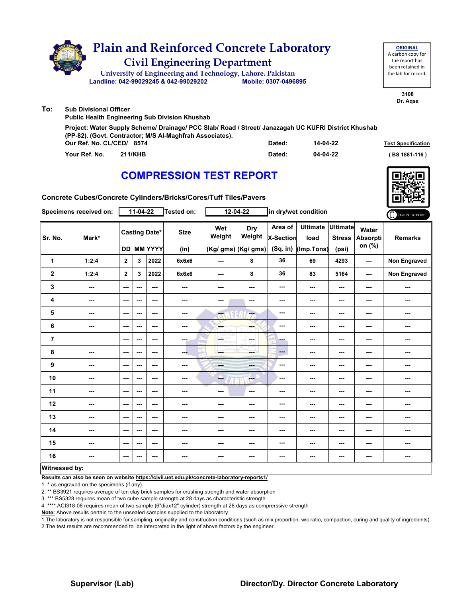|     | <b>Plain and Reinforced Concrete Laboratory</b><br><b>Civil Engineering Department</b><br>University of Engineering and Technology, Lahore. Pakistan<br>Landline: 042-99029245 & 042-99029202 | Mobile: 0307-0496895 |          | <b>ORIGINAL</b><br>A carbon copy for<br>the report has<br>been retained in<br>the lab for record. |
|-----|-----------------------------------------------------------------------------------------------------------------------------------------------------------------------------------------------|----------------------|----------|---------------------------------------------------------------------------------------------------|
|     |                                                                                                                                                                                               |                      |          | 3108<br>Dr. Agsa                                                                                  |
| To: | <b>Sub Divisional Officer</b><br><b>Public Health Engineering Sub Division Khushab</b>                                                                                                        |                      |          |                                                                                                   |
|     | Project: Water Supply Scheme/ Drainage/ PCC Slab/ Road / Street/ Janazagah UC KUFRI District Khushab<br>(PP-82). (Govt. Contractor; M/S Al-Maghfrah Associates).<br>Our Ref. No. CL/CED/ 8574 | Dated:               | 14-04-22 | <b>Test Specification</b>                                                                         |

**Your Ref. No. 211/KHB Dated: ( BS 1881-116 )**

**04-04-22**

|  | AAUDDEAAIAU TEAT DEDADT |  |  |
|--|-------------------------|--|--|
|  |                         |  |  |
|  |                         |  |  |

# **COMPRESSION TEST REPORT**

**Concrete Cubes/Concrete Cylinders/Bricks/Cores/Tuff Tiles/Pavers**

| Specimens received on: |                          | $11-04-22$               |     |                                    | <b>Tested on:</b>   | 12-04-22      |                                       | in dry/wet condition               |                                       |                                    |                                    | ONLINE REPORT  |
|------------------------|--------------------------|--------------------------|-----|------------------------------------|---------------------|---------------|---------------------------------------|------------------------------------|---------------------------------------|------------------------------------|------------------------------------|----------------|
| Sr. No.                | Mark*                    |                          |     | <b>Casting Date*</b><br>DD MM YYYY | <b>Size</b><br>(in) | Wet<br>Weight | Dry<br>Weight<br>$(Kg/gms)$ (Kg/ gms) | Area of<br>X-Section<br>$(Sq.$ in) | <b>Ultimate</b><br>load<br>(Imp.Tons) | Ultimate<br><b>Stress</b><br>(psi) | Water<br><b>Absorpti</b><br>on (%) | <b>Remarks</b> |
| 1                      | 1:2:4                    | $\overline{2}$           | 3   | 2022                               | 6x6x6               | $\sim$ $\sim$ | 8                                     | 36                                 | 69                                    | 4293                               | $\sim$                             | Non Engraved   |
| 2                      | 1:2:4                    | $\mathbf{2}$             | 3   | 2022                               | 6x6x6               | $\sim$        | 8                                     | 36                                 | 83                                    | 5164                               | $\sim$ $\sim$                      | Non Engraved   |
| 3                      | $\overline{\phantom{a}}$ | $\sim$ $\sim$            | --- | $\overline{\phantom{a}}$           | $\sim$              | ---           | ---                                   | ---                                | $\sim$ $\sim$                         | ---                                | ---                                | ---            |
| 4                      | ---                      | $\overline{\phantom{a}}$ | --- | $\overline{\phantom{a}}$           | ---                 | $\sim$        | ---                                   | $--$                               | $\sim$                                | ---                                | ---                                | ---            |
| 5                      | $\overline{\phantom{a}}$ | $\sim$                   | --- | ---                                | ---                 | ---           | ---                                   | $\qquad \qquad \cdots$             | ---                                   | ---                                | ---                                | ---            |
| 6                      | ---                      | $\sim$ $\sim$            | --- | ---                                | ---                 | <b>SHOP</b>   | ---                                   | $\overline{\phantom{a}}$           | ---                                   | ---                                | ---                                | ---            |
| $\overline{7}$         |                          | $\overline{\phantom{a}}$ | --- | ---                                | ---                 | OF THY        | ---                                   | ---                                | $\overline{\phantom{a}}$              | ---                                | ---                                | ---            |
| 8                      | $\overline{\phantom{a}}$ | $\sim$                   | --- | ---                                | ---                 | ---           | ---                                   | ---                                | $\sim$                                | ---                                | ---                                |                |
| 9                      | ---                      | $\sim$ $\sim$            | --- | ---                                | ---                 | mana.         | ---                                   | ---                                | ---                                   | ---                                | ---                                | ---            |
| 10                     | $\overline{\phantom{a}}$ | $\sim$                   | --- | $\sim$                             | ---                 | --            | ---                                   | ---                                | $\sim$ $\sim$                         | ---                                | ---                                | ---            |
| 11                     | ---                      | $\sim$                   | --- | ---                                |                     | ---           | ---                                   | $\sim$                             | ---                                   | ---                                | ---                                | ---            |
| 12                     | $\sim$                   | $\sim$ $\sim$            | --- | ---                                | ---                 | ---           | ---                                   | ---                                | ---                                   | ---                                | ---                                | ---            |
| 13                     | $- - -$                  | $\sim$ $\sim$            | --- | ---                                | ---                 | ---           | ---                                   | ---                                | $- - -$                               | ---                                | ---                                | ---            |
| 14                     | $\cdots$                 | $\sim$                   | --- | ---                                | ---                 | ---           | ---                                   | ---                                | ---                                   | ---                                | ---                                | ---            |
| 15                     | $\sim$                   | $\sim$ $\sim$            | --- | $\sim$ $\sim$                      | ---                 | ---           | ---                                   | ---                                | ---                                   | ---                                | ---                                | ---            |
| 16                     | ---                      | $\hspace{0.05cm} \ldots$ | --- | ---                                | ---                 | $\sim$ $\sim$ | ---                                   | ---                                | $\sim$ $\sim$                         | ---                                | ---                                | ---            |
| Witnessed by:          |                          |                          |     |                                    |                     |               |                                       |                                    |                                       |                                    |                                    |                |

#### **Witnessed by:**

**Results can also be seen on website https://civil.uet.edu.pk/concrete-laboratory-reports1/**

1. \* as engraved on the specimens (if any)

2. \*\* BS3921 requires average of ten clay brick samples for crushing strength and water absorption

3. \*\*\* BS5328 requires mean of two cube sample strength at 28 days as characteristic strength

4. \*\*\*\* ACI318-08 requires mean of two sample (6"diax12" cylinder) strength at 28 days as comprerssive strength

**Note:** Above results pertain to the unsealed samples supplied to the laboratory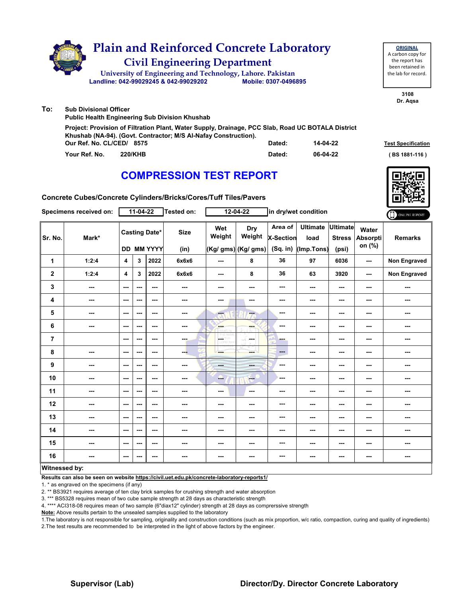|     | <b>Plain and Reinforced Concrete Laboratory</b><br><b>Civil Engineering Department</b><br>University of Engineering and Technology, Lahore. Pakistan<br>Landline: 042-99029245 & 042-99029202     | Mobile: 0307-0496895 |          | <b>ORIGINAL</b><br>A carbon copy for<br>the report has<br>been retained in<br>the lab for record. |
|-----|---------------------------------------------------------------------------------------------------------------------------------------------------------------------------------------------------|----------------------|----------|---------------------------------------------------------------------------------------------------|
| To: | <b>Sub Divisional Officer</b><br><b>Public Health Engineering Sub Division Khushab</b>                                                                                                            |                      |          | 3108<br>Dr. Agsa                                                                                  |
|     | Project: Provision of Filtration Plant, Water Supply, Drainage, PCC Slab, Road UC BOTALA District<br>Khushab (NA-94). (Govt. Contractor; M/S Al-Nafay Construction).<br>Our Ref. No. CL/CED/ 8575 | Dated:               | 14-04-22 | <b>Test Specification</b>                                                                         |
|     | Your Ref. No.<br><b>220/KHB</b>                                                                                                                                                                   | Dated:               | 06-04-22 | BS 1881-116)                                                                                      |

**Concrete Cubes/Concrete Cylinders/Bricks/Cores/Tuff Tiles/Pavers**

| Specimens received on: |        | $11-04-22$               |                          |                                           | Tested on:               | $12 - 04 - 22$ |                                      | in dry/wet condition               |                                       |                                           |                                    | ONLINE REPORT       |
|------------------------|--------|--------------------------|--------------------------|-------------------------------------------|--------------------------|----------------|--------------------------------------|------------------------------------|---------------------------------------|-------------------------------------------|------------------------------------|---------------------|
| Sr. No.                | Mark*  |                          |                          | <b>Casting Date*</b><br><b>DD MM YYYY</b> | <b>Size</b><br>(in)      | Wet<br>Weight  | Dry<br>Weight<br>(Kg/ gms) (Kg/ gms) | Area of<br>X-Section<br>$(Sq.$ in) | <b>Ultimate</b><br>load<br>(Imp.Tons) | <b>Ultimate</b><br><b>Stress</b><br>(psi) | Water<br><b>Absorpti</b><br>on (%) | <b>Remarks</b>      |
| 1                      | 1:2:4  | 4                        | 3                        | 2022                                      | 6x6x6                    | $--$           | 8                                    | 36                                 | 97                                    | 6036                                      | ---                                | <b>Non Engraved</b> |
| $\boldsymbol{2}$       | 1:2:4  | $\overline{\mathbf{4}}$  | 3                        | 2022                                      | 6x6x6                    | $--$           | 8                                    | 36                                 | 63                                    | 3920                                      | ---                                | Non Engraved        |
| 3                      | $\sim$ | $\sim$ $\sim$            | $- - -$                  | $\overline{\phantom{a}}$                  | $\overline{\phantom{a}}$ | ---            | $\sim$                               | ---                                | ---                                   | $--$                                      | ---                                | ---                 |
| 4                      | ---    | $\sim$ $\sim$            | ---                      | $\overline{\phantom{a}}$                  | $\overline{\phantom{a}}$ | ---            | ---                                  | ---                                | ---                                   | ---                                       | ---                                | ---                 |
| 5                      | ---    | $\hspace{0.05cm} \ldots$ | ---                      | ---                                       | $\overline{\phantom{a}}$ | बर             | ---                                  | ---                                | ---                                   | ---                                       | ---                                | ---                 |
| 6                      | $\sim$ | $\sim$ $\sim$            | ---                      | ---                                       | $\sim$ $\sim$            | ---            | ---                                  | ---                                | ---                                   | ---                                       | ---                                | ---                 |
| $\overline{7}$         |        | $\sim$ $\sim$            | ---                      | $\overline{\phantom{a}}$                  | ---                      | <b>OETHY</b>   | and a                                | ---                                | ---                                   | ---                                       | ---                                | ---                 |
| 8                      | ---    | $\sim$ $\sim$            | ---                      | $\overline{\phantom{a}}$                  | --                       |                | ---                                  | ---                                | ---                                   | $--$                                      | ---                                | ---                 |
| 9                      | ---    | $\sim$                   | ---                      | $\overline{\phantom{a}}$                  | ---                      | ---            | <b>SHOP</b>                          | ---                                | ---                                   | ---                                       | ---                                | ---                 |
| 10                     | ---    | $\sim$ $\sim$            | ---                      | ---                                       | ---                      | --             | ---                                  | ---                                | ---                                   | ---                                       | ---                                | ---                 |
| 11                     | ---    | $\hspace{0.05cm} \ldots$ | ---                      | ---                                       | $\overline{\phantom{a}}$ | $\cdots$       | $\sim$                               | ---                                | ---                                   | $\cdots$                                  | ---                                | ---                 |
| 12                     | $\sim$ | $\sim$ $\sim$            | $\overline{\phantom{a}}$ | $\overline{\phantom{a}}$                  | $\overline{\phantom{a}}$ | ---            | ---                                  | ---                                | ---                                   | ---                                       | ---                                | ---                 |
| 13                     | ---    | $\sim$ $\sim$            | ---                      | $\overline{\phantom{a}}$                  | ---                      | ---            | ---                                  | ---                                | ---                                   | ---                                       | ---                                | ---                 |
| 14                     | ---    | $\sim$                   | ---                      | ---                                       | ---                      | $\cdots$       | ---                                  | ---                                | ---                                   | ---                                       | ---                                | ---                 |
| 15                     | ---    | $\sim$ $\sim$            | ---                      | $\sim$                                    | ---                      | ---            | ---                                  | ---                                | ---                                   | ---                                       | ---                                | ---                 |
| 16                     | ---    | $\sim$ $\sim$            | ---                      | ---                                       | $\overline{\phantom{a}}$ | ---            | $\overline{\phantom{a}}$             | ---                                | ---                                   | ---                                       | ---                                | ---                 |
| Witnessed by:          |        |                          |                          |                                           |                          |                |                                      |                                    |                                       |                                           |                                    |                     |

#### **Witnessed by:**

**Results can also be seen on website https://civil.uet.edu.pk/concrete-laboratory-reports1/**

1. \* as engraved on the specimens (if any)

2. \*\* BS3921 requires average of ten clay brick samples for crushing strength and water absorption

3. \*\*\* BS5328 requires mean of two cube sample strength at 28 days as characteristic strength

4. \*\*\*\* ACI318-08 requires mean of two sample (6"diax12" cylinder) strength at 28 days as comprerssive strength

**Note:** Above results pertain to the unsealed samples supplied to the laboratory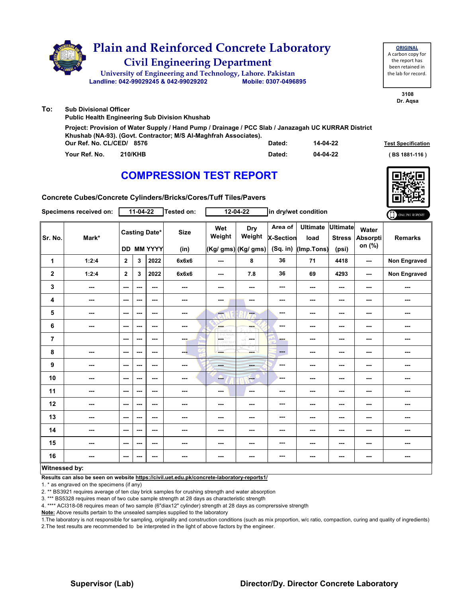|     | <b>Plain and Reinforced Concrete Laboratory</b><br><b>Civil Engineering Department</b><br>University of Engineering and Technology, Lahore. Pakistan<br>Landline: 042-99029245 & 042-99029202        | Mobile: 0307-0496895 |          | <b>ORIGINAL</b><br>A carbon copy for<br>the report has<br>been retained in<br>the lab for record. |
|-----|------------------------------------------------------------------------------------------------------------------------------------------------------------------------------------------------------|----------------------|----------|---------------------------------------------------------------------------------------------------|
| To: | <b>Sub Divisional Officer</b><br><b>Public Health Engineering Sub Division Khushab</b>                                                                                                               |                      |          | 3108<br>Dr. Agsa                                                                                  |
|     | Project: Provision of Water Supply / Hand Pump / Drainage / PCC Slab / Janazagah UC KURRAR District<br>Khushab (NA-93). (Govt. Contractor; M/S Al-Maghfrah Associates).<br>Our Ref. No. CL/CED/ 8576 | Dated:               | 14-04-22 | <b>Test Specification</b>                                                                         |
|     | Your Ref. No.<br><b>210/KHB</b>                                                                                                                                                                      | Dated:               | 04-04-22 | BS 1881-116)                                                                                      |

**Concrete Cubes/Concrete Cylinders/Bricks/Cores/Tuff Tiles/Pavers**

| Specimens received on: |                          | $11-04-22$               |      |                                           | Tested on:          |                                                                                                           | $12 - 04 - 22$                       |                                           | in dry/wet condition                    |                        |                                    |                |
|------------------------|--------------------------|--------------------------|------|-------------------------------------------|---------------------|-----------------------------------------------------------------------------------------------------------|--------------------------------------|-------------------------------------------|-----------------------------------------|------------------------|------------------------------------|----------------|
| Sr. No.                | Mark*                    |                          |      | <b>Casting Date*</b><br><b>DD MM YYYY</b> | <b>Size</b><br>(in) | Wet<br>Weight                                                                                             | Dry<br>Weight<br>(Kg/ gms) (Kg/ gms) | Area of<br><b>X-Section</b><br>$(Sq.$ in) | Ultimate Ultimate<br>load<br>(Imp.Tons) | <b>Stress</b><br>(psi) | Water<br><b>Absorpti</b><br>on (%) | <b>Remarks</b> |
| 1                      | 1:2:4                    | $\overline{2}$           | 3    | 2022                                      | 6x6x6               | $--$                                                                                                      | 8                                    | 36                                        | 71                                      | 4418                   | ---                                | Non Engraved   |
| $\boldsymbol{2}$       | 1:2:4                    | $\overline{2}$           | 3    | 2022                                      | 6x6x6               | ---                                                                                                       | 7.8                                  | 36                                        | 69                                      | 4293                   | $- - -$                            | Non Engraved   |
| 3                      | $\cdots$                 | $\sim$                   | ---  | ---                                       | ---                 | ---                                                                                                       | ---                                  | ---                                       | ---                                     | $\cdots$               | ---                                | ---            |
| 4                      | ---                      | $\sim$ $\sim$            | ---  | $\sim$ $\sim$                             | $\sim$              | ---                                                                                                       | $\sim$ $\sim$                        | ---                                       | ---                                     | $\sim$ $\sim$          | ---                                | ---            |
| 5                      | $\overline{\phantom{a}}$ | $\sim$                   | ---  | ---                                       | $\sim$              | <b>Fee</b>                                                                                                | ÷                                    | ---                                       | ---                                     | $--$                   | ---                                | ---            |
| 6                      | $\cdots$                 | $\sim$                   | ---  | ---                                       | ---                 | <b>SHOP</b>                                                                                               | ---                                  | ---                                       | ---                                     | $\cdots$               | ---                                | ---            |
| $\overline{7}$         |                          | $--$                     | ---  | $--$                                      | man.                | $\begin{array}{c}\n\sqrt{16.16} \\ \hline\n\text{QCD}^{\text{2D}} \\ \text{QCD}^{\text{2D}}\n\end{array}$ | in man                               | ---                                       | ---                                     | ---                    | ---                                | ---            |
| 8                      | $\sim$                   | $\overline{\phantom{a}}$ | $--$ | ---                                       | ---                 | ---                                                                                                       | ment i                               | $\qquad \qquad \cdots$                    | ---                                     | ---                    | ---                                |                |
| 9                      | $\cdots$                 | $\cdots$                 | ---  | ---                                       | ---                 | men.                                                                                                      | ---                                  | $- - -$                                   | ---                                     | $\cdots$               | ---                                | ---            |
| 10                     | ---                      | $\overline{\phantom{a}}$ | ---  | $--$                                      | ---                 | ---                                                                                                       | $-1$                                 | ---                                       | $--$                                    | $--$                   | ---                                | ---            |
| 11                     | $\cdots$                 | ---                      | ---  | ---                                       | ---                 | $\cdots$                                                                                                  | ---                                  | ---                                       | ---                                     | $\cdots$               | ---                                | ---            |
| 12                     | $\sim$ $\sim$            | $\overline{\phantom{a}}$ | ---  | $--$                                      | ---                 | ---                                                                                                       | ---                                  | ---                                       | ---                                     | ---                    | ---                                | ---            |
| 13                     | $\overline{\phantom{a}}$ | $--$                     | ---  | ---                                       | ---                 | ---                                                                                                       | ---                                  | ---                                       | ---                                     | ---                    | ---                                | ---            |
| 14                     | $\sim$                   | $\sim$                   | $--$ | ---                                       | ---                 | ---                                                                                                       | ---                                  | ---                                       | ---                                     | ---                    | ---                                | ---            |
| 15                     | $\sim$                   | $--$                     | ---  | ---                                       | $\sim$              | ---                                                                                                       | ---                                  | ---                                       | ---                                     | ---                    | ---                                | ---            |
| 16                     | ---                      | $--$                     | ---  | $--$                                      | ---                 | ---                                                                                                       | ---                                  | ---                                       | ---                                     | ---                    | ---                                |                |
| Witnessed by:          |                          |                          |      |                                           |                     |                                                                                                           |                                      |                                           |                                         |                        |                                    |                |

#### **Witnessed by:**

**Results can also be seen on website https://civil.uet.edu.pk/concrete-laboratory-reports1/**

1. \* as engraved on the specimens (if any)

2. \*\* BS3921 requires average of ten clay brick samples for crushing strength and water absorption

3. \*\*\* BS5328 requires mean of two cube sample strength at 28 days as characteristic strength

4. \*\*\*\* ACI318-08 requires mean of two sample (6"diax12" cylinder) strength at 28 days as comprerssive strength

**Note:** Above results pertain to the unsealed samples supplied to the laboratory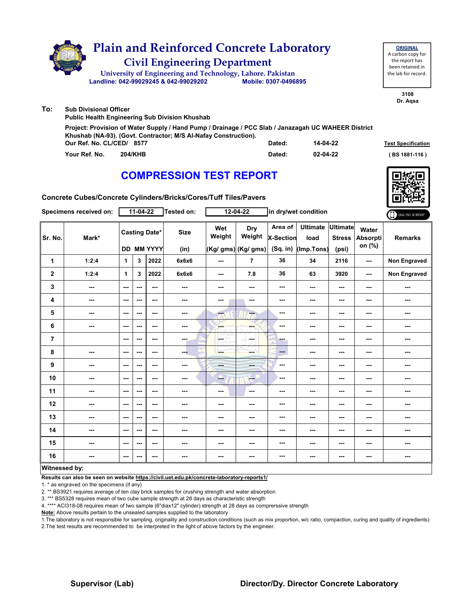|     | <b>Plain and Reinforced Concrete Laboratory</b><br><b>Civil Engineering Department</b><br>University of Engineering and Technology, Lahore. Pakistan<br>Landline: 042-99029245 & 042-99029202       | Mobile: 0307-0496895 |          | <b>ORIGINAL</b><br>A carbon copy for<br>the report has<br>been retained in<br>the lab for record. |
|-----|-----------------------------------------------------------------------------------------------------------------------------------------------------------------------------------------------------|----------------------|----------|---------------------------------------------------------------------------------------------------|
| To: | <b>Sub Divisional Officer</b><br><b>Public Health Engineering Sub Division Khushab</b>                                                                                                              |                      |          | 3108<br>Dr. Agsa                                                                                  |
|     | Project: Provision of Water Supply / Hand Pump / Drainage / PCC Slab / Janazagah UC WAHEER District<br>Khushab (NA-93). (Govt. Contractor; M/S Al-Nafay Construction).<br>Our Ref. No. CL/CED/ 8577 | Dated:               | 14-04-22 | <b>Test Specification</b>                                                                         |
|     | Your Ref. No.<br><b>204/KHB</b>                                                                                                                                                                     | Dated:               | 02-04-22 | BS 1881-116)                                                                                      |

**Concrete Cubes/Concrete Cylinders/Bricks/Cores/Tuff Tiles/Pavers**

| Specimens received on: |                          | $11-04-22$               |     |                                           | Tested on:          |               | $12 - 04 - 22$                        | in dry/wet condition                    |                                       |                                           |                                    | ONLINE REPORT  |
|------------------------|--------------------------|--------------------------|-----|-------------------------------------------|---------------------|---------------|---------------------------------------|-----------------------------------------|---------------------------------------|-------------------------------------------|------------------------------------|----------------|
| Sr. No.                | Mark*                    |                          |     | <b>Casting Date*</b><br><b>DD MM YYYY</b> | <b>Size</b><br>(in) | Wet<br>Weight | Dry<br>Weight<br>$(Kg/gms)$ (Kg/ gms) | Area of<br><b>X-Section</b><br>(Sq. in) | <b>Ultimate</b><br>load<br>(Imp.Tons) | <b>Ultimate</b><br><b>Stress</b><br>(psi) | Water<br><b>Absorpti</b><br>on (%) | <b>Remarks</b> |
| 1                      | 1:2:4                    | $\mathbf{1}$             | 3   | 2022                                      | 6x6x6               | $\sim$ $\sim$ | $\overline{7}$                        | 36                                      | 34                                    | 2116                                      | ---                                | Non Engraved   |
| $\mathbf{2}$           | 1:2:4                    | $\mathbf{1}$             | 3   | 2022                                      | 6x6x6               | ---           | 7.8                                   | 36                                      | 63                                    | 3920                                      | ---                                | Non Engraved   |
| 3                      | $\cdots$                 | $\sim$                   | --- | $\sim$ $\sim$                             | $\cdots$            | ---           | ---                                   | ---                                     | ---                                   | $\qquad \qquad \cdots$                    | ---                                | ---            |
| 4                      | $\overline{\phantom{a}}$ | $\overline{\phantom{a}}$ | --- | $\sim$ $\sim$                             | $\cdots$            | ---           | $\sim$                                | ---                                     | ---                                   | $\qquad \qquad \cdots$                    | ---                                | ---            |
| 5                      | $\overline{\phantom{a}}$ | $\overline{\phantom{a}}$ | --- | $\overline{\phantom{a}}$                  | $\sim$              | ---           | ---                                   | ---                                     | ---                                   | $\overline{\phantom{a}}$                  | ---                                | ---            |
| 6                      | $\cdots$                 | $\sim$                   | --- | ---                                       | ---                 | <b>SHOP</b>   | ---                                   | ---                                     | ---                                   | $\cdots$                                  | ---                                | ---            |
| $\overline{7}$         |                          | $\sim$ $\sim$            | --- | $- - -$                                   | <b>SHOP</b>         | <b>OFTHY</b>  | المسترد                               | ---                                     | ---                                   | $\sim$ $\sim$                             | ---                                | ---            |
| 8                      | $\sim$                   | $\cdots$                 | --- | ---                                       | ---                 | ---           | ment i                                | ---                                     | ---                                   | $\cdots$                                  | ---                                | ---            |
| 9                      | $\overline{\phantom{a}}$ | $\sim$ $\sim$            | --- | $\sim$ $\sim$                             | $\sim$              | <b>Head</b>   | ---                                   | ---                                     | ---                                   | $\overline{\phantom{a}}$                  | ---                                | ---            |
| 10                     | ---                      | $\sim$ $\sim$            | --- | $\sim$ $\sim$                             | ---                 | --            | <b>Free</b>                           | ---                                     | ---                                   | $\sim$ $\sim$                             | ---                                | ---            |
| 11                     | $\overline{\phantom{a}}$ | $\overline{\phantom{a}}$ | --- | $\overline{\phantom{a}}$                  | ---                 | ---           | $\sim$                                | ---                                     | ---                                   | $\sim$                                    | ---                                | ---            |
| 12                     | $\sim$                   | $\overline{\phantom{a}}$ | --- | ---                                       | ---                 | ---           | ---                                   | ---                                     | ---                                   | $\overline{\phantom{a}}$                  | ---                                | ---            |
| 13                     | ---                      | ---                      | --- | ---                                       | ---                 | ---           | ---                                   | ---                                     | ---                                   | ---                                       | ---                                | ---            |
| 14                     | $\overline{\phantom{a}}$ | $\overline{\phantom{a}}$ | --- | $\overline{\phantom{a}}$                  | ---                 | ---           | ---                                   | ---                                     | ---                                   | $\overline{\phantom{a}}$                  | ---                                | ---            |
| 15                     | ---                      | $\overline{\phantom{a}}$ | --- | ---                                       | $\sim$              | ---           | ---                                   | ---                                     | ---                                   | $\cdots$                                  | ---                                | ---            |
| 16                     | $\overline{\phantom{a}}$ | $\sim$                   | --- | $\sim$ $\sim$                             | $\sim$              | ---           | ---                                   | ---                                     | ---                                   | $\qquad \qquad \cdots$                    | ---                                | ---            |
| Witnessed by:          |                          |                          |     |                                           |                     |               |                                       |                                         |                                       |                                           |                                    |                |

#### **Witnessed by:**

**Results can also be seen on website https://civil.uet.edu.pk/concrete-laboratory-reports1/**

1. \* as engraved on the specimens (if any)

2. \*\* BS3921 requires average of ten clay brick samples for crushing strength and water absorption

3. \*\*\* BS5328 requires mean of two cube sample strength at 28 days as characteristic strength

4. \*\*\*\* ACI318-08 requires mean of two sample (6"diax12" cylinder) strength at 28 days as comprerssive strength

**Note:** Above results pertain to the unsealed samples supplied to the laboratory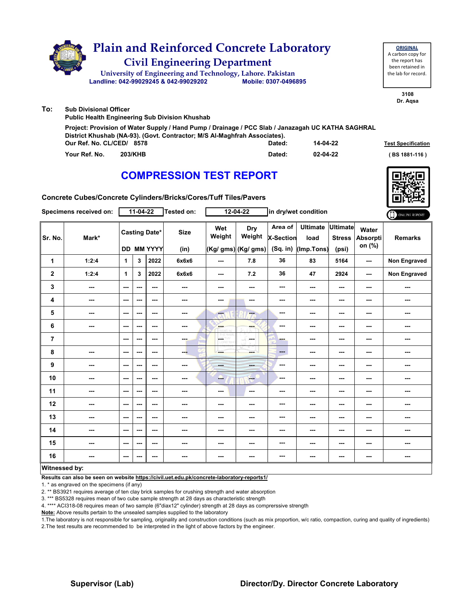|     | <b>Plain and Reinforced Concrete Laboratory</b><br><b>Civil Engineering Department</b><br>University of Engineering and Technology, Lahore. Pakistan<br>Landline: 042-99029245 & 042-99029202               | Mobile: 0307-0496895 |          | <b>ORIGINAL</b><br>A carbon copy for<br>the report has<br>been retained in<br>the lab for record. |
|-----|-------------------------------------------------------------------------------------------------------------------------------------------------------------------------------------------------------------|----------------------|----------|---------------------------------------------------------------------------------------------------|
| To: | <b>Sub Divisional Officer</b><br><b>Public Health Engineering Sub Division Khushab</b>                                                                                                                      |                      |          | 3108<br>Dr. Agsa                                                                                  |
|     | Project: Provision of Water Supply / Hand Pump / Drainage / PCC Slab / Janazagah UC KATHA SAGHRAL<br>District Khushab (NA-93). (Govt. Contractor; M/S Al-Maghfrah Associates).<br>Our Ref. No. CL/CED/ 8578 | Dated:               | 14-04-22 | <b>Test Specification</b>                                                                         |
|     | Your Ref. No.<br><b>203/KHB</b>                                                                                                                                                                             | Dated:               | 02-04-22 | BS 1881-116)                                                                                      |

**Concrete Cubes/Concrete Cylinders/Bricks/Cores/Tuff Tiles/Pavers**

|                | Specimens received on: |                        | $11-04-22$ |                                           | Tested on:          |                                                                                                           | $12 - 04 - 22$                              |                                         | in dry/wet condition                  |                                           |                                    | ONLINE REPORT       |
|----------------|------------------------|------------------------|------------|-------------------------------------------|---------------------|-----------------------------------------------------------------------------------------------------------|---------------------------------------------|-----------------------------------------|---------------------------------------|-------------------------------------------|------------------------------------|---------------------|
| Sr. No.        | Mark*                  |                        |            | <b>Casting Date*</b><br><b>DD MM YYYY</b> | <b>Size</b><br>(in) | Wet<br>Weight                                                                                             | <b>Dry</b><br>Weight<br>(Kg/ gms) (Kg/ gms) | Area of<br><b>X-Section</b><br>(Sq. in) | <b>Ultimate</b><br>load<br>(Imp.Tons) | <b>Ultimate</b><br><b>Stress</b><br>(psi) | Water<br><b>Absorpti</b><br>on (%) | <b>Remarks</b>      |
| 1              | 1:2:4                  | $\mathbf{1}$           | 3          | 2022                                      | 6x6x6               | $--$                                                                                                      | 7.8                                         | 36                                      | 83                                    | 5164                                      | ---                                | Non Engraved        |
| $\mathbf{2}$   | 1:2:4                  | 1                      | 3          | 2022                                      | 6x6x6               | ---                                                                                                       | 7.2                                         | 36                                      | 47                                    | 2924                                      | $- - -$                            | <b>Non Engraved</b> |
| 3              | ---                    | $\sim$ $\sim$          | ---        | $\sim$                                    | $\sim$              | ---                                                                                                       | ---                                         | ---                                     | ---                                   | $\cdots$                                  | ---                                | ---                 |
| 4              | ---                    | $\sim$ $\sim$          | ---        | $\sim$ $\sim$                             | $\sim$ $\sim$       | ---                                                                                                       | $\sim$                                      | ---                                     | $--$                                  | $--$                                      | ---                                | $\sim$              |
| 5              | ---                    | $\sim$ $\sim$          | ---        | $\sim$ $\sim$                             | $\sim$              | ---                                                                                                       | ---                                         | ---                                     | ---                                   | ---                                       | ---                                | ---                 |
| 6              | $\cdots$               | $\sim$ $\sim$          | ---        | $\qquad \qquad \cdots$                    | $\sim$              | <b>Bar</b><br><b>ARRAIT</b> MA                                                                            | ---                                         | ---                                     | ---                                   | ---                                       | ---                                | ---                 |
| $\overline{7}$ |                        | $\sim$ $\sim$          | ---        | $\sim$ $\sim$                             | ---                 | $\underbrace{\begin{pmatrix} \partial E \, \Pi \partial Y \\ \partial D \, \Pi \partial Y \end{pmatrix}}$ | المسترد                                     | ---                                     | ---                                   | ---                                       | ---                                | ---                 |
| 8              | ---                    | $\sim$                 | ---        | $\sim$ $\sim$                             | ---                 | ---                                                                                                       | ment i                                      | ---                                     | ---                                   | ---                                       | ---                                | ---                 |
| 9              | ---                    | $\sim$                 | ---        | $\sim$                                    | $\sim$ $\sim$       | ---                                                                                                       | ---                                         | ---                                     | ---                                   | ---                                       | ---                                | ---                 |
| 10             | ---                    | $- - -$                | ---        | $\sim$ $\sim$                             | $\sim$ $\sim$       | --                                                                                                        | ---                                         | ---                                     | ---                                   | ---                                       | ---                                | ---                 |
| 11             | ---                    | $\qquad \qquad \cdots$ | ---        | $\sim$ $\sim$                             | ---                 | ---                                                                                                       | ---                                         | ---                                     | ---                                   | ---                                       | ---                                | ---                 |
| 12             | $\sim$ $\sim$          | $\sim$ $\sim$          | ---        | $\sim$ $\sim$                             | ---                 | ---                                                                                                       | ---                                         | ---                                     | ---                                   | ---                                       | ---                                | ---                 |
| 13             | ---                    | ---                    | ---        | $- - -$                                   | ---                 | ---                                                                                                       | ---                                         | ---                                     | ---                                   | ---                                       | ---                                | ---                 |
| 14             | ---                    | $\sim$ $\sim$          | ---        | $\sim$ $\sim$                             | ---                 | ---                                                                                                       | ---                                         | ---                                     | ---                                   | ---                                       | ---                                | ---                 |
| 15             | ---                    | $\sim$ $\sim$          | ---        | $\sim$ $\sim$                             | ---                 | ---                                                                                                       | ---                                         | ---                                     | ---                                   | ---                                       | ---                                | ---                 |
| 16             | ---                    | $\sim$                 | ---        | $\sim$ $\sim$                             | $\sim$              | $--$                                                                                                      | ---                                         | ---                                     | ---                                   | $--$                                      | ---                                | ---                 |
| Witnessed by:  |                        |                        |            |                                           |                     |                                                                                                           |                                             |                                         |                                       |                                           |                                    |                     |

#### **Witnessed by:**

**Results can also be seen on website https://civil.uet.edu.pk/concrete-laboratory-reports1/**

1. \* as engraved on the specimens (if any)

2. \*\* BS3921 requires average of ten clay brick samples for crushing strength and water absorption

3. \*\*\* BS5328 requires mean of two cube sample strength at 28 days as characteristic strength

4. \*\*\*\* ACI318-08 requires mean of two sample (6"diax12" cylinder) strength at 28 days as comprerssive strength

**Note:** Above results pertain to the unsealed samples supplied to the laboratory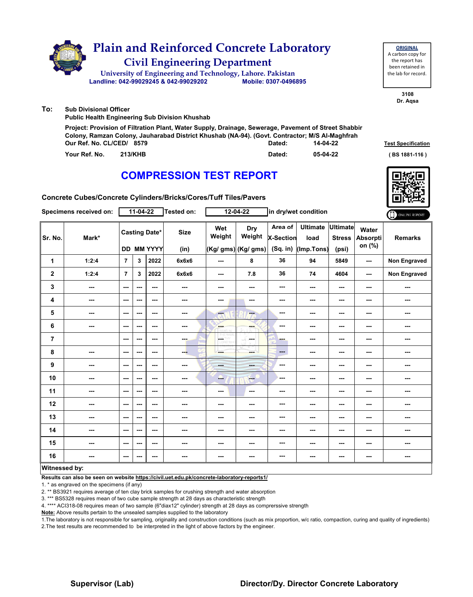|     | <b>Plain and Reinforced Concrete Laboratory</b><br><b>Civil Engineering Department</b><br>University of Engineering and Technology, Lahore. Pakistan<br>Landline: 042-99029245 & 042-99029202                                       | Mobile: 0307-0496895 |          | <b>ORIGINAL</b><br>A carbon copy for<br>the report has<br>been retained in<br>the lab for record. |
|-----|-------------------------------------------------------------------------------------------------------------------------------------------------------------------------------------------------------------------------------------|----------------------|----------|---------------------------------------------------------------------------------------------------|
| To: | <b>Sub Divisional Officer</b><br><b>Public Health Engineering Sub Division Khushab</b>                                                                                                                                              |                      |          | 3108<br>Dr. Agsa                                                                                  |
|     | Project: Provision of Filtration Plant, Water Supply, Drainage, Sewerage, Pavement of Street Shabbir<br>Colony, Ramzan Colony, Jauharabad District Khushab (NA-94). (Govt. Contractor; M/S Al-Maghfrah<br>Our Ref. No. CL/CED/ 8579 | Dated:               | 14-04-22 | <b>Test Specification</b>                                                                         |
|     | Your Ref. No.<br><b>213/KHB</b>                                                                                                                                                                                                     | Dated:               | 05-04-22 | BS 1881-116)                                                                                      |

**Concrete Cubes/Concrete Cylinders/Bricks/Cores/Tuff Tiles/Pavers**

|                | Specimens received on: |                          | $11-04-22$ |                                           | Tested on:          |                 | 12-04-22                                    |                                    | in dry/wet condition                  |                                           |                                    | ONLINE REPORT       |
|----------------|------------------------|--------------------------|------------|-------------------------------------------|---------------------|-----------------|---------------------------------------------|------------------------------------|---------------------------------------|-------------------------------------------|------------------------------------|---------------------|
| Sr. No.        | Mark*                  |                          |            | <b>Casting Date*</b><br><b>DD MM YYYY</b> | <b>Size</b><br>(in) | Wet<br>Weight   | <b>Dry</b><br>Weight<br>(Kg/ gms) (Kg/ gms) | Area of<br>X-Section<br>$(Sq.$ in) | <b>Ultimate</b><br>load<br>(Imp.Tons) | <b>Ultimate</b><br><b>Stress</b><br>(psi) | Water<br><b>Absorpti</b><br>on (%) | <b>Remarks</b>      |
| 1              | 1:2:4                  | $\overline{7}$           | 3          | 2022                                      | 6x6x6               | ---             | 8                                           | 36                                 | 94                                    | 5849                                      | ---                                | <b>Non Engraved</b> |
| $\mathbf 2$    | 1:2:4                  | $\overline{7}$           | 3          | 2022                                      | 6x6x6               | $--$            | 7.8                                         | 36                                 | 74                                    | 4604                                      | ---                                | Non Engraved        |
| 3              | $\sim$                 | $\sim$                   | ---        | $\sim$                                    | $\sim$              | ---             | ---                                         | ---                                | ---                                   | ---                                       | $\sim$                             | ---                 |
| 4              | ---                    | $\overline{\phantom{a}}$ | ---        | $\sim$ $\sim$                             | $\sim$ $\sim$       | ---             | $\sim$                                      | ---                                | ---                                   | ---                                       | ---                                | ---                 |
| 5              | ---                    | $\overline{\phantom{a}}$ | ---        | $\overline{\phantom{a}}$                  | ---                 | ---             | $-$                                         | ---                                | ---                                   | ---                                       | ---                                | ---                 |
| 6              | ---                    | $\cdots$                 | ---        | ---                                       | ---                 | ---<br>anari id | ---                                         | ---                                | ---                                   | ---                                       | ---                                | ---                 |
| $\overline{7}$ |                        | $-$                      | ---        | $\sim$ $\sim$                             | $-$                 | <b>OETHY</b>    | and a                                       | ---                                | ---                                   | ---                                       | ---                                | ---                 |
| 8              | ---                    | $\cdots$                 | ---        | ---                                       | ---                 | ---             | ment of                                     | $\qquad \qquad \cdots$             | ---                                   | ---                                       | ---                                | ---                 |
| 9              | ---                    | $\overline{\phantom{a}}$ | ---        | $\sim$                                    | $\sim$              | ---             | <b>AND</b>                                  | ---                                | ---                                   | ---                                       |                                    | ---                 |
| 10             | ---                    | $\sim$ $\sim$            | ---        | $\sim$ $\sim$                             | $\sim$ $\sim$       | --              | $-1$                                        | ---                                | ---                                   | $\overline{\phantom{a}}$                  | ---                                | ---                 |
| 11             | ---                    | $\sim$                   | ---        | $\overline{\phantom{a}}$                  | ---                 | ---             | $\sim$                                      | ---                                | ---                                   | ---                                       | ---                                | ---                 |
| 12             | $\sim$                 | $\sim$ $\sim$            | ---        | $\sim$ $\sim$                             | $\sim$              | ---             | ---                                         | ---                                | ---                                   | ---                                       | ---                                | ---                 |
| 13             | ---                    | $\overline{\phantom{a}}$ | ---        | $- - -$                                   | $\sim$              | ---             | ---                                         | ---                                | ---                                   | ---                                       | ---                                | ---                 |
| 14             | ---                    | $\overline{\phantom{a}}$ | ---        | $\overline{\phantom{a}}$                  | ---                 | ---             | ---                                         | ---                                | ---                                   | ---                                       | ---                                | ---                 |
| 15             | ---                    | $\cdots$                 | ---        | ---                                       | ---                 | ---             | ---                                         | ---                                | ---                                   | ---                                       | ---                                | ---                 |
| 16             | ---                    | $\sim$                   | ---        | $\sim$ $\sim$                             | $\sim$              | $--$            | $\sim$                                      | ---                                | ---                                   | ---                                       | ---                                | ---                 |
| Witnessed by:  |                        |                          |            |                                           |                     |                 |                                             |                                    |                                       |                                           |                                    |                     |

#### **Witnessed by:**

**Results can also be seen on website https://civil.uet.edu.pk/concrete-laboratory-reports1/**

1. \* as engraved on the specimens (if any)

2. \*\* BS3921 requires average of ten clay brick samples for crushing strength and water absorption

3. \*\*\* BS5328 requires mean of two cube sample strength at 28 days as characteristic strength

4. \*\*\*\* ACI318-08 requires mean of two sample (6"diax12" cylinder) strength at 28 days as comprerssive strength

**Note:** Above results pertain to the unsealed samples supplied to the laboratory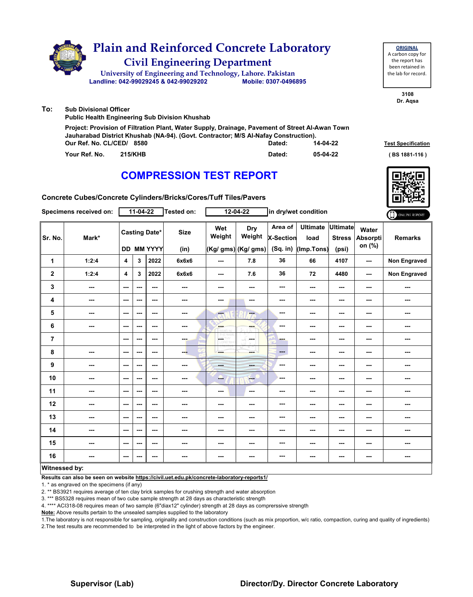|     | <b>Plain and Reinforced Concrete Laboratory</b><br><b>Civil Engineering Department</b><br>University of Engineering and Technology, Lahore. Pakistan<br>Landline: 042-99029245 & 042-99029202                       | Mobile: 0307-0496895 |          | <b>ORIGINAL</b><br>A carbon copy for<br>the report has<br>been retained in<br>the lab for record. |
|-----|---------------------------------------------------------------------------------------------------------------------------------------------------------------------------------------------------------------------|----------------------|----------|---------------------------------------------------------------------------------------------------|
| To: | <b>Sub Divisional Officer</b><br><b>Public Health Engineering Sub Division Khushab</b>                                                                                                                              |                      |          | 3108<br>Dr. Agsa                                                                                  |
|     | Project: Provision of Filtration Plant, Water Supply, Drainage, Pavement of Street Al-Awan Town<br>Jauharabad District Khushab (NA-94). (Govt. Contractor; M/S Al-Nafay Construction).<br>Our Ref. No. CL/CED/ 8580 | Dated:               | 14-04-22 | <b>Test Specification</b>                                                                         |
|     | Your Ref. No.<br>215/KHB                                                                                                                                                                                            | Dated:               | 05-04-22 | BS 1881-116)                                                                                      |

**Concrete Cubes/Concrete Cylinders/Bricks/Cores/Tuff Tiles/Pavers**

|                | Specimens received on:   |                          | $11-04-22$ |                                           | Tested on:          |               | 12-04-22                                    |                                  | in dry/wet condition                  |                                           |                                    | ONLINE REPORT       |
|----------------|--------------------------|--------------------------|------------|-------------------------------------------|---------------------|---------------|---------------------------------------------|----------------------------------|---------------------------------------|-------------------------------------------|------------------------------------|---------------------|
| Sr. No.        | Mark*                    |                          |            | <b>Casting Date*</b><br><b>DD MM YYYY</b> | <b>Size</b><br>(in) | Wet<br>Weight | <b>Dry</b><br>Weight<br>(Kg/ gms) (Kg/ gms) | Area of<br>X-Section<br>(Sq. in) | <b>Ultimate</b><br>load<br>(Imp.Tons) | <b>Ultimate</b><br><b>Stress</b><br>(psi) | Water<br><b>Absorpti</b><br>on (%) | <b>Remarks</b>      |
| 1              | 1:2:4                    | $\overline{\mathbf{4}}$  | 3          | 2022                                      | 6x6x6               | $\sim$ $\sim$ | 7.8                                         | 36                               | 66                                    | 4107                                      | ---                                | Non Engraved        |
| $\mathbf{2}$   | 1:2:4                    | 4                        | 3          | 2022                                      | 6x6x6               | ---           | 7.6                                         | 36                               | 72                                    | 4480                                      | ---                                | <b>Non Engraved</b> |
| 3              | ---                      | $\sim$ $\sim$            | ---        | $--$                                      | ---                 | ---           | ---                                         | ---                              | ---                                   | ---                                       | ---                                |                     |
| 4              | ---                      | $--$                     | ---        | $\sim$ $\sim$                             | $\sim$              | ---           | $\sim$                                      | ---                              | ---                                   | ---                                       | ---                                | ---                 |
| 5              | ---                      | $\sim$ $\sim$            | ---        | ---                                       | $\sim$              | ---           | ---                                         | ---                              | ---                                   | ---                                       | ---                                | ---                 |
| 6              | $\overline{\phantom{a}}$ | $\sim$ $\sim$            | ---        | $--$                                      | $\sim$              | <b>Barnet</b> | ---                                         | ---                              | ---                                   | $--$                                      | ---                                | ---                 |
| $\overline{7}$ |                          | ---                      | ---        | ---                                       | ---                 | LG.<br>W      | in ma                                       | ---                              | ---                                   | ---                                       | ---                                | ---                 |
| 8              | ---                      | $\sim$ $\sim$            | ---        | ---                                       | ---                 | ---           | <b>Service</b>                              | $---$                            | ---                                   | ---                                       | ---                                | ---                 |
| 9              | ---                      | $\sim$                   | ---        | $--$                                      | $\cdots$            | <b>Frida</b>  | ---                                         | ---                              | ---                                   | ---                                       | ---                                | ---                 |
| 10             | ---                      | $--$                     | ---        | $--$                                      | ---                 | --            | $\qquad \qquad -$                           | ---                              | ---                                   | ---                                       | ---                                | ---                 |
| 11             | ---                      | ---                      | ---        | ---                                       | ---                 | ---           | ---                                         | ---                              | ---                                   | ---                                       | ---                                | ---                 |
| 12             | $\sim$ $\sim$            | $\sim$ $\sim$            | ---        | ---                                       | ---                 | ---           | ---                                         | ---                              | ---                                   | ---                                       | ---                                | ---                 |
| 13             | ---                      | ---                      | ---        | ---                                       | ---                 | ---           | ---                                         | ---                              | ---                                   | ---                                       | ---                                | ---                 |
| 14             | ---                      | ---                      | ---        | $--$                                      | ---                 | ---           | ---                                         | ---                              | ---                                   | ---                                       | ---                                | ---                 |
| 15             | ---                      | $--$                     | ---        | ---                                       | ---                 | ---           | ---                                         | ---                              | ---                                   | ---                                       | ---                                | ---                 |
| 16             | ---                      | $\overline{\phantom{a}}$ | ---        | ---                                       | ---                 | ---           | ---                                         | ---                              | ---                                   | ---                                       | ---                                | ---                 |
| Witnessed hy   |                          |                          |            |                                           |                     |               |                                             |                                  |                                       |                                           |                                    |                     |

#### **Witnessed by:**

**Results can also be seen on website https://civil.uet.edu.pk/concrete-laboratory-reports1/**

1. \* as engraved on the specimens (if any)

2. \*\* BS3921 requires average of ten clay brick samples for crushing strength and water absorption

3. \*\*\* BS5328 requires mean of two cube sample strength at 28 days as characteristic strength

4. \*\*\*\* ACI318-08 requires mean of two sample (6"diax12" cylinder) strength at 28 days as comprerssive strength

**Note:** Above results pertain to the unsealed samples supplied to the laboratory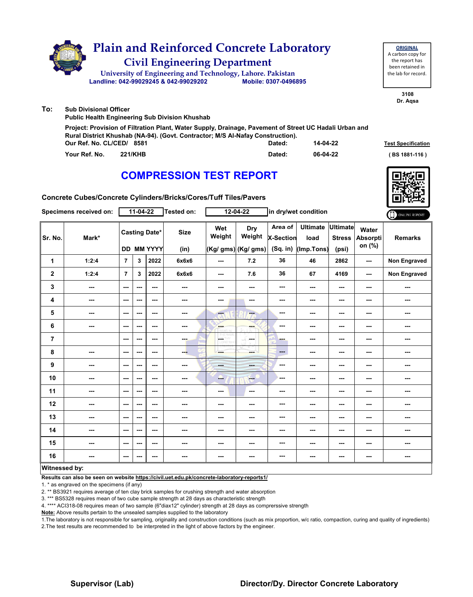|     | <b>Plain and Reinforced Concrete Laboratory</b><br><b>Civil Engineering Department</b><br>University of Engineering and Technology, Lahore. Pakistan<br>Landline: 042-99029245 & 042-99029202                         | Mobile: 0307-0496895 |          | <b>ORIGINAL</b><br>A carbon copy for<br>the report has<br>been retained in<br>the lab for record. |
|-----|-----------------------------------------------------------------------------------------------------------------------------------------------------------------------------------------------------------------------|----------------------|----------|---------------------------------------------------------------------------------------------------|
| To: | <b>Sub Divisional Officer</b><br><b>Public Health Engineering Sub Division Khushab</b>                                                                                                                                |                      |          | 3108<br>Dr. Agsa                                                                                  |
|     | Project: Provision of Filtration Plant, Water Supply, Drainage, Pavement of Street UC Hadali Urban and<br>Rural District Khushab (NA-94). (Govt. Contractor; M/S Al-Nafay Construction).<br>Our Ref. No. CL/CED/ 8581 | Dated:               | 14-04-22 | <b>Test Specification</b>                                                                         |
|     | Your Ref. No.<br><b>221/KHB</b>                                                                                                                                                                                       | Dated:               | 06-04-22 | BS 1881-116)                                                                                      |

**Concrete Cubes/Concrete Cylinders/Bricks/Cores/Tuff Tiles/Pavers**

|                | Specimens received on: |                          | $11-04-22$ |                                           | Tested on:               |                             | $12 - 04 - 22$                       |                                         | in dry/wet condition                  |                                           |                             | ONLINE REPORT       |
|----------------|------------------------|--------------------------|------------|-------------------------------------------|--------------------------|-----------------------------|--------------------------------------|-----------------------------------------|---------------------------------------|-------------------------------------------|-----------------------------|---------------------|
| Sr. No.        | Mark*                  |                          |            | <b>Casting Date*</b><br><b>DD MM YYYY</b> | <b>Size</b><br>(in)      | Wet<br>Weight               | Dry<br>Weight<br>(Kg/ gms) (Kg/ gms) | Area of<br><b>X-Section</b><br>(Sq. in) | <b>Ultimate</b><br>load<br>(Imp.Tons) | <b>Ultimate</b><br><b>Stress</b><br>(psi) | Water<br>Absorpti<br>on (%) | <b>Remarks</b>      |
| 1              | 1:2:4                  | $\overline{7}$           | 3          | 2022                                      | 6x6x6                    | $\sim$ $\sim$               | 7.2                                  | 36                                      | 46                                    | 2862                                      | ---                         | Non Engraved        |
| $\mathbf 2$    | 1:2:4                  | $\overline{7}$           | 3          | 2022                                      | 6x6x6                    | ---                         | 7.6                                  | 36                                      | 67                                    | 4169                                      | ---                         | <b>Non Engraved</b> |
| 3              | ---                    | $\sim$ $\sim$            | ---        | ---                                       | $\overline{a}$           | ---                         | ---                                  | ---                                     | ---                                   | $--$                                      | ---                         |                     |
| 4              | ---                    | ---                      | ---        | ---                                       | $\frac{1}{2}$            | ---                         | $\sim$                               | ---                                     | $\overline{\phantom{a}}$              | $--$                                      | ---                         | ---                 |
| 5              | ---                    | $--$                     | ---        | $\overline{\phantom{a}}$                  | ---                      | ---                         | ---                                  | ---                                     | ---                                   | ---                                       | ---                         | ---                 |
| 6              | $--$                   | $\sim$ $\sim$            | ---        | $--$                                      | ---                      | <b>AND</b><br><b>Arabis</b> | ---                                  | ---                                     | ---                                   | ---                                       | ---                         | ---                 |
| $\overline{7}$ |                        | $--$                     | ---        | ---                                       | ---                      | $\frac{105}{10000}$         | المسترد                              | ---                                     | ---                                   | ---                                       | ---                         | ---                 |
| 8              | ---                    | $\sim$ $\sim$            | ---        | $\overline{\phantom{a}}$                  | ---                      | ---                         | man i                                | ---                                     | ---                                   | ---                                       | ---                         | ---                 |
| 9              | ---                    | $\sim$ $\sim$            | ---        | ---                                       | ---                      | ---                         | ---                                  | ---                                     | ---                                   | ---                                       | ---                         | ---                 |
| 10             | ---                    | $- - -$                  | ---        | $- - -$                                   | ---                      | --                          | <b>ALL</b>                           | ---                                     | ---                                   | ---                                       | ---                         | ---                 |
| 11             | ---                    | ---                      | ---        | ---                                       | $\overline{\phantom{a}}$ | ---                         | ---                                  | ---                                     | ---                                   | ---                                       | ---                         | ---                 |
| 12             | $\sim$                 | $\sim$ $\sim$            | ---        | ---                                       | ---                      | ---                         | ---                                  | ---                                     | ---                                   | ---                                       | ---                         | ---                 |
| 13             | ---                    | ---                      | ---        | ---                                       | ---                      | ---                         | ---                                  | ---                                     | ---                                   | ---                                       | ---                         | ---                 |
| 14             | ---                    | $--$                     | ---        | $--$                                      | $\overline{\phantom{a}}$ | ---                         | ---                                  | ---                                     | ---                                   | ---                                       | ---                         | ---                 |
| 15             | ---                    | $\sim$ $\sim$            | ---        | ---                                       | ---                      | ---                         | ---                                  | ---                                     | ---                                   | ---                                       | ---                         | ---                 |
| 16             | ---                    | $\overline{\phantom{a}}$ | ---        | $\overline{\phantom{a}}$                  | $\cdots$                 | ---                         | ---                                  | ---                                     | ---                                   | $--$                                      | ---                         | ---                 |
| Witnessed by:  |                        |                          |            |                                           |                          |                             |                                      |                                         |                                       |                                           |                             |                     |

#### **Witnessed by:**

**Results can also be seen on website https://civil.uet.edu.pk/concrete-laboratory-reports1/**

1. \* as engraved on the specimens (if any)

2. \*\* BS3921 requires average of ten clay brick samples for crushing strength and water absorption

3. \*\*\* BS5328 requires mean of two cube sample strength at 28 days as characteristic strength

4. \*\*\*\* ACI318-08 requires mean of two sample (6"diax12" cylinder) strength at 28 days as comprerssive strength

**Note:** Above results pertain to the unsealed samples supplied to the laboratory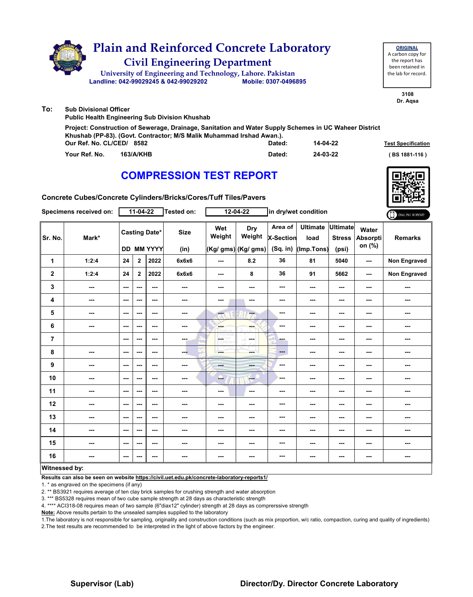|     | <b>Plain and Reinforced Concrete Laboratory</b><br><b>Civil Engineering Department</b><br>University of Engineering and Technology, Lahore. Pakistan<br>Landline: 042-99029245 & 042-99029202                | Mobile: 0307-0496895 |          | <b>ORIGINAL</b><br>A carbon copy for<br>the report has<br>been retained in<br>the lab for record. |
|-----|--------------------------------------------------------------------------------------------------------------------------------------------------------------------------------------------------------------|----------------------|----------|---------------------------------------------------------------------------------------------------|
| To: | <b>Sub Divisional Officer</b><br><b>Public Health Engineering Sub Division Khushab</b>                                                                                                                       |                      |          | 3108<br>Dr. Agsa                                                                                  |
|     | Project: Construction of Sewerage, Drainage, Sanitation and Water Supply Schemes in UC Waheer District<br>Khushab (PP-83). (Govt. Contractor; M/S Malik Muhammad Irshad Awan.).<br>Our Ref. No. CL/CED/ 8582 | Dated:               | 14-04-22 | <b>Test Specification</b>                                                                         |
|     | Your Ref. No.<br><b>163/A/KHB</b>                                                                                                                                                                            | Dated:               | 24-03-22 | BS 1881-116)                                                                                      |



**Concrete Cubes/Concrete Cylinders/Bricks/Cores/Tuff Tiles/Pavers**

|                  | Specimens received on:   |                          | $11-04-22$   |                                           | Tested on:          |                           | $12 - 04 - 22$                       |                                           | in dry/wet condition                  |                                           |                                    | ONLINE REPORT  |
|------------------|--------------------------|--------------------------|--------------|-------------------------------------------|---------------------|---------------------------|--------------------------------------|-------------------------------------------|---------------------------------------|-------------------------------------------|------------------------------------|----------------|
| Sr. No.          | Mark*                    |                          |              | <b>Casting Date*</b><br><b>DD MM YYYY</b> | <b>Size</b><br>(in) | Wet<br>Weight             | Dry<br>Weight<br>(Kg/ gms) (Kg/ gms) | Area of<br><b>X-Section</b><br>$(Sq.$ in) | <b>Ultimate</b><br>load<br>(Imp.Tons) | <b>Ultimate</b><br><b>Stress</b><br>(psi) | Water<br><b>Absorpti</b><br>on (%) | <b>Remarks</b> |
| 1                | 1:2:4                    | 24                       | $\mathbf{2}$ | 2022                                      | 6x6x6               | ---                       | 8.2                                  | 36                                        | 81                                    | 5040                                      | $\overline{a}$                     | Non Engraved   |
| $\boldsymbol{2}$ | 1:2:4                    | 24                       | $\mathbf{2}$ | 2022                                      | 6x6x6               | $--$                      | 8                                    | 36                                        | 91                                    | 5662                                      | $\sim$ $\sim$                      | Non Engraved   |
| 3                | $- - -$                  | $\sim$ $\sim$            | ---          | ---                                       | $\sim$              | ---                       | ---                                  | ---                                       | $- - -$                               | $\overline{\phantom{a}}$                  | $\sim$                             | ---            |
| 4                | ---                      | ---                      | ---          | ---                                       | ---                 | ---                       | ---                                  | ---                                       | ---                                   | ---                                       | $\overline{\phantom{a}}$           | ---            |
| 5                | $\overline{\phantom{a}}$ | $\sim$ $\sim$            | ---          | $--$                                      | ---                 | $\overline{\alpha}$       | m.                                   | ---                                       | ---                                   | $\overline{\phantom{a}}$                  | ---                                | ---            |
| 6                | ---                      | $--$                     | ---          | ---                                       | ---                 | <b>Albert</b>             | ---                                  | ---                                       | ---                                   | ---                                       | ---                                | ---            |
| $\overline{7}$   |                          | $\sim$ $\sim$            | ---          | ---                                       | ---                 | $\frac{100}{1000}$<br>HY. | in man                               | ---                                       | ---                                   | ---                                       | ---                                | ---            |
| 8                | $\overline{\phantom{a}}$ | $\sim$ $\sim$            | ---          | $--$                                      | ---                 |                           | ---                                  | ---                                       | $\overline{\phantom{a}}$              | $\overline{\phantom{a}}$                  | $\overline{\phantom{a}}$           | ---            |
| 9                | $\overline{\phantom{a}}$ | ---                      | ---          | ---                                       | ---                 | <b>House</b>              | ---                                  | ---                                       | $\overline{\phantom{a}}$              | ---                                       | ---                                | ---            |
| 10               | ---                      | $\sim$ $\sim$            | ---          | $--$                                      | ---                 | --                        | ---                                  | ---                                       | ---                                   | ---                                       | ---                                | ---            |
| 11               | $- - -$                  | $\sim$ $\sim$            | ---          | ---                                       | ---                 | $--$                      | $\sim$ $\sim$                        | ---                                       | ---                                   | $\overline{\phantom{a}}$                  | $\sim$                             | ---            |
| 12               | $\overline{\phantom{a}}$ | ---                      | ---          | ---                                       | ---                 | ---                       | ---                                  | ---                                       | ---                                   | ---                                       | ---                                | ---            |
| 13               | ---                      | $--$                     | ---          | ---                                       | ---                 | ---                       | ---                                  | ---                                       | ---                                   | ---                                       | $\overline{\phantom{a}}$           | ---            |
| 14               | ---                      | ---                      | ---          | ---                                       | ---                 | ---                       |                                      | ---                                       | ---                                   | ---                                       | ---                                | ---            |
| 15               | ---                      | $\sim$ $\sim$            | ---          | ---                                       | ---                 | ---                       | ---                                  | ---                                       | ---                                   | ---                                       | ---                                | ---            |
| 16               | ---                      | $\overline{\phantom{a}}$ | ---          | $\overline{\phantom{a}}$                  | ---                 | ---                       | ---                                  | ---                                       | $\overline{\phantom{a}}$              | ---                                       | ---                                | ---            |
| Witnessed by:    |                          |                          |              |                                           |                     |                           |                                      |                                           |                                       |                                           |                                    |                |

#### **Witnessed by:**

**Results can also be seen on website https://civil.uet.edu.pk/concrete-laboratory-reports1/**

1. \* as engraved on the specimens (if any)

2. \*\* BS3921 requires average of ten clay brick samples for crushing strength and water absorption

3. \*\*\* BS5328 requires mean of two cube sample strength at 28 days as characteristic strength

4. \*\*\*\* ACI318-08 requires mean of two sample (6"diax12" cylinder) strength at 28 days as comprerssive strength

**Note:** Above results pertain to the unsealed samples supplied to the laboratory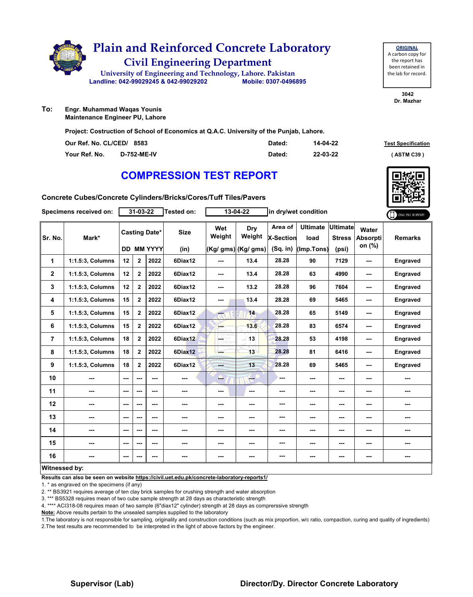

**ORIGINAL** A carbon copy for the report has been retained in the lab for record.

> **3042 Dr. Mazhar**

**To: Engr. Muhammad Waqas Younis Maintenance Engineer PU, Lahore**

**Project: Costruction of School of Economics at Q.A.C. University of the Punjab, Lahore.**

| Our Ref. No. CL/CED/ 8583 |                    | Dated: | 14-04-22 | <b>Test Specification</b> |
|---------------------------|--------------------|--------|----------|---------------------------|
| Your Ref. No.             | <b>D-752-ME-IV</b> | Dated: | 22-03-22 | <b>ASTM C39</b>           |

### **COMPRESSION TEST REPORT**

| Concrete Cubes/Concrete Cylinders/Bricks/Cores/Tuff Tiles/Pavers |  |
|------------------------------------------------------------------|--|
|------------------------------------------------------------------|--|

|                | Specimens received on: |     | 31-03-22                                  |      | <b>Tested on:</b>   |               | 13-04-22                             |                                           | in dry/wet condition                  |                                           |                                    | ONLINE REPORT   |
|----------------|------------------------|-----|-------------------------------------------|------|---------------------|---------------|--------------------------------------|-------------------------------------------|---------------------------------------|-------------------------------------------|------------------------------------|-----------------|
| Sr. No.        | Mark*                  |     | <b>Casting Date*</b><br><b>DD MM YYYY</b> |      | <b>Size</b><br>(in) | Wet<br>Weight | Dry<br>Weight<br>(Kg/ gms) (Kg/ gms) | Area of<br><b>X-Section</b><br>$(Sq.$ in) | <b>Ultimate</b><br>load<br>(Imp.Tons) | <b>Ultimate</b><br><b>Stress</b><br>(psi) | Water<br><b>Absorpti</b><br>on (%) | <b>Remarks</b>  |
| $\mathbf{1}$   | 1:1.5:3, Columns       | 12  | $\mathbf{2}$                              | 2022 | 6Diax12             | ---           | 13.4                                 | 28.28                                     | 90                                    | 7129                                      | ---                                | Engraved        |
| $\mathbf 2$    | 1:1.5:3, Columns       | 12  | $\mathbf{2}$                              | 2022 | 6Diax12             | ---           | 13.4                                 | 28.28                                     | 63                                    | 4990                                      | ---                                | <b>Engraved</b> |
| 3              | 1:1.5:3, Columns       | 12  | $\mathbf{2}$                              | 2022 | 6Diax12             | ---           | 13.2                                 | 28.28                                     | 96                                    | 7604                                      | ---                                | <b>Engraved</b> |
| 4              | 1:1.5:3, Columns       | 15  | $\mathbf{2}$                              | 2022 | 6Diax12             | ---           | 13.4                                 | 28.28                                     | 69                                    | 5465                                      | ---                                | <b>Engraved</b> |
| 5              | 1:1.5:3, Columns       | 15  | $\overline{2}$                            | 2022 | 6Diax12             | He i          | 14                                   | 28.28                                     | 65                                    | 5149                                      | ---                                | Engraved        |
| 6              | 1:1.5:3, Columns       | 15  | $\mathbf{2}$                              | 2022 | 6Diax12             | ---           | 13.6                                 | 28.28                                     | 83                                    | 6574                                      | ---                                | Engraved        |
| $\overline{7}$ | 1:1.5:3, Columns       | 18  | $\mathbf{2}$                              | 2022 | 6Diax12             | L.            | 13                                   | 28.28                                     | 53                                    | 4198                                      | ---                                | Engraved        |
| 8              | 1:1.5:3, Columns       | 18  | $\mathbf{2}$                              | 2022 | 6Diax12             | ---           | 13                                   | 28.28                                     | 81                                    | 6416                                      | ---                                | Engraved        |
| 9              | 1:1.5:3, Columns       | 18  | $\overline{2}$                            | 2022 | 6Diax12             | ---           | 13                                   | 28.28                                     | 69                                    | 5465                                      | ---                                | Engraved        |
| 10             |                        | --- | ---                                       | ---  | ---                 | ---           | $-$                                  | ---                                       | ---                                   | ---                                       |                                    | ---             |
| 11             | ---                    | --- | ---                                       | ---  | ---                 | ---           | $\sim$                               | ---                                       | ---                                   | ---                                       |                                    | ---             |
| 12             | ---                    | --- | ---                                       | ---  | ---                 | ---           | ---                                  | ---                                       | ---                                   | ---                                       | ---                                | ---             |
| 13             | ---                    | --- | ---                                       | ---  | ---                 | ---           | ---                                  | ---                                       | ---                                   | ---                                       |                                    |                 |
| 14             | ---                    | --- | ---                                       | ---  | ---                 | ---           | ---                                  | ---                                       | ---                                   | ---                                       | ---                                | ---             |
| 15             | ---                    | --- | ---                                       | ---  | ---                 | ---           | ---                                  | ---                                       | ---                                   | ---                                       | ---                                | ---             |
| 16             | ---                    | --- | ---                                       | ---  | ---                 | ---           | ---                                  | ---                                       | ---                                   | ---                                       | ---                                | ---             |
| Witnessed by:  |                        |     |                                           |      |                     |               |                                      |                                           |                                       |                                           |                                    |                 |

### **Witnessed by:**

**Results can also be seen on website https://civil.uet.edu.pk/concrete-laboratory-reports1/**

1. \* as engraved on the specimens (if any)

2. \*\* BS3921 requires average of ten clay brick samples for crushing strength and water absorption

3. \*\*\* BS5328 requires mean of two cube sample strength at 28 days as characteristic strength

4. \*\*\*\* ACI318-08 requires mean of two sample (6"diax12" cylinder) strength at 28 days as comprerssive strength

**Note:** Above results pertain to the unsealed samples supplied to the laboratory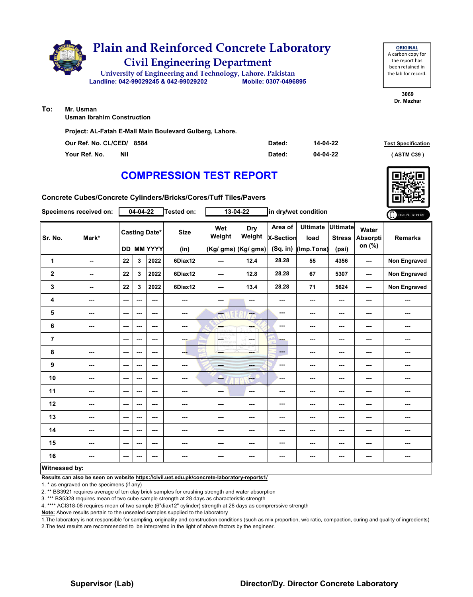

**Usman Ibrahim Construction**

**Project: AL-Fatah E-Mall Main Boulevard Gulberg, Lahore.**

| Our Ref. No. CL/CED/ 8584 | Dated: | 14-04-22 | <b>Test Specification</b> |
|---------------------------|--------|----------|---------------------------|
| Your Ref. No.<br>Nil      | Dated: | 04-04-22 | (ASTM C39)                |

### **COMPRESSION TEST REPORT**

**Concrete Cubes/Concrete Cylinders/Bricks/Cores/Tuff Tiles/Pavers**

|                      | Specimens received on: |                          | $04 - 04 - 22$                            |         | Tested on:               |               | 13-04-22                             |                                           | in dry/wet condition                  |                                           | ONLINE REPORT                      |                     |
|----------------------|------------------------|--------------------------|-------------------------------------------|---------|--------------------------|---------------|--------------------------------------|-------------------------------------------|---------------------------------------|-------------------------------------------|------------------------------------|---------------------|
| Sr. No.              | Mark*                  |                          | <b>Casting Date*</b><br><b>DD MM YYYY</b> |         | <b>Size</b><br>(in)      | Wet<br>Weight | Dry<br>Weight<br>(Kg/ gms) (Kg/ gms) | Area of<br><b>X-Section</b><br>$(Sq.$ in) | <b>Ultimate</b><br>load<br>(Imp.Tons) | <b>Ultimate</b><br><b>Stress</b><br>(psi) | Water<br><b>Absorpti</b><br>on (%) | <b>Remarks</b>      |
| 1                    | $\sim$                 | 22                       | 3                                         | 2022    | 6Diax12                  | ---           | 12.4                                 | 28.28                                     | 55                                    | 4356                                      | ---                                | Non Engraved        |
| $\mathbf 2$          | --                     | 22                       | 3                                         | 2022    | 6Diax12                  | ---           | 12.8                                 | 28.28                                     | 67                                    | 5307                                      | ---                                | <b>Non Engraved</b> |
| 3                    | $\sim$                 | 22                       | 3                                         | 2022    | 6Diax12                  | ---           | 13.4                                 | 28.28                                     | 71                                    | 5624                                      | ---                                | <b>Non Engraved</b> |
| 4                    | ---                    | $\sim$                   | ---                                       | $- - -$ | $\sim$ $\sim$            | ---           | $\sim$                               | ---                                       | ---                                   | $--$                                      | ---                                | ---                 |
| 5                    | $\sim$ $\sim$          | $\sim$ $\sim$            | ---                                       | ---     | $- - -$                  | ---           | ---                                  | ---                                       | ---                                   | ---                                       | ---                                | ---                 |
| 6                    | ---                    | $\overline{\phantom{a}}$ | ---                                       | ---     | ---                      | ---           | ---                                  | ---                                       | ---                                   | ---                                       | ---                                | ---                 |
| $\overline{7}$       |                        | $\sim$                   | ---                                       | $--$    | ---                      | LGST          | in med                               | ---                                       | ---                                   | ---                                       | ---                                | ---                 |
| 8                    | ---                    | $\sim$ $\sim$            | ---                                       | $--$    | ---                      | ---           | ---                                  | ---                                       | ---                                   | $--$                                      | ---                                | ---                 |
| 9                    | ---                    | $\sim$ $\sim$            | ---                                       | ---     | $\sim$                   | <b>Bank</b>   | ---                                  | ---                                       | ---                                   | ---                                       | ---                                | ---                 |
| 10                   | ---                    | $\overline{\phantom{a}}$ | ---                                       | ---     | ---                      | ---           | <b>Fee</b>                           | ---                                       | ---                                   | ---                                       | ---                                | ---                 |
| 11                   | ---                    | $\sim$                   | ---                                       | ---     | ---                      | ---           | $\sim$                               | ---                                       | ---                                   | ---                                       | ---                                | ---                 |
| 12                   | ---                    | $\sim$ $\sim$            | ---                                       | ---     | ---                      | ---           | ---                                  | ---                                       | ---                                   | ---                                       | ---                                | ---                 |
| 13                   | ---                    | $\sim$ $\sim$            | ---                                       | ---     | ---                      | ---           | ---                                  | ---                                       | ---                                   | ---                                       | ---                                | ---                 |
| 14                   | ---                    | $\sim$                   | ---                                       | ---     | ---                      | ---           | ---                                  | ---                                       | ---                                   | ---                                       | ---                                | ---                 |
| 15                   | ---                    | $\sim$ $\sim$            | ---                                       | $--$    | $\overline{\phantom{a}}$ | ---           | ---                                  | ---                                       | ---                                   | ---                                       | ---                                | ---                 |
| 16                   | ---                    | ---                      | ---                                       | ---     | ---                      | ---           | ---                                  | ---                                       | ---                                   | ---                                       | ---                                | ---                 |
| <b>Witnessed by:</b> |                        |                          |                                           |         |                          |               |                                      |                                           |                                       |                                           |                                    |                     |

#### **Witnessed by:**

**Results can also be seen on website https://civil.uet.edu.pk/concrete-laboratory-reports1/**

1. \* as engraved on the specimens (if any)

2. \*\* BS3921 requires average of ten clay brick samples for crushing strength and water absorption

3. \*\*\* BS5328 requires mean of two cube sample strength at 28 days as characteristic strength

4. \*\*\*\* ACI318-08 requires mean of two sample (6"diax12" cylinder) strength at 28 days as comprerssive strength

**Note:** Above results pertain to the unsealed samples supplied to the laboratory

1.The laboratory is not responsible for sampling, originality and construction conditions (such as mix proportion, w/c ratio, compaction, curing and quality of ingredients) 2.The test results are recommended to be interpreted in the light of above factors by the engineer.

### **Supervisor (Lab) Director/Dy. Director Concrete Laboratory**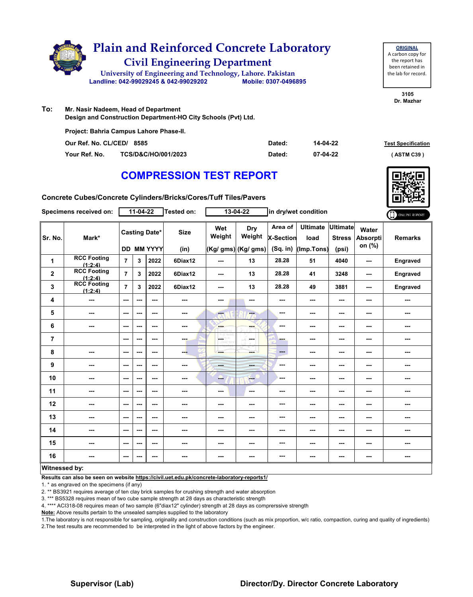

| <b>ORIGINAL</b>     |
|---------------------|
| A carbon copy for   |
| the report has      |
| been retained in    |
| the lab for record. |
|                     |

**3105 Dr. Mazhar**

**To: Mr. Nasir Nadeem, Head of Department Design and Construction Department-HO City Schools (Pvt) Ltd.**

| Project: Bahria Campus Lahore Phase-II. |                     |        |          |                           |  |  |  |  |  |  |
|-----------------------------------------|---------------------|--------|----------|---------------------------|--|--|--|--|--|--|
| Our Ref. No. CL/CED/ 8585               |                     | Dated: | 14-04-22 | <b>Test Specification</b> |  |  |  |  |  |  |
| Your Ref. No.                           | TCS/D&C/HO/001/2023 | Dated: | 07-04-22 | (ASTM C39)                |  |  |  |  |  |  |

# **COMPRESSION TEST REPORT**



**Concrete Cubes/Concrete Cylinders/Bricks/Cores/Tuff Tiles/Pavers**

|                | Specimens received on:        |                | 11-04-22                                  |         | Tested on:          |                        | 13-04-22                             |                                         | in dry/wet condition                  |                                           |                                    | ONLINE REPORT  |
|----------------|-------------------------------|----------------|-------------------------------------------|---------|---------------------|------------------------|--------------------------------------|-----------------------------------------|---------------------------------------|-------------------------------------------|------------------------------------|----------------|
| Sr. No.        | Mark*                         |                | <b>Casting Date*</b><br><b>DD MM YYYY</b> |         | <b>Size</b><br>(in) | Wet<br>Weight          | Dry<br>Weight<br>(Kg/ gms) (Kg/ gms) | Area of<br><b>X-Section</b><br>(Sq. in) | <b>Ultimate</b><br>load<br>(Imp.Tons) | <b>Ultimate</b><br><b>Stress</b><br>(psi) | Water<br><b>Absorpti</b><br>on (%) | <b>Remarks</b> |
|                | <b>RCC Footing</b>            |                |                                           |         |                     |                        |                                      |                                         |                                       |                                           |                                    |                |
| 1              | (1:2:4)                       | $\overline{7}$ | 3                                         | 2022    | 6Diax12             | ---                    | 13                                   | 28.28                                   | 51                                    | 4040                                      | ---                                | Engraved       |
| $\mathbf 2$    | <b>RCC Footing</b><br>(1:2:4) | $\overline{7}$ | 3                                         | 2022    | 6Diax12             | ---                    | 13                                   | 28.28                                   | 41                                    | 3248                                      | ---                                | Engraved       |
| 3              | <b>RCC Footing</b><br>(1:2:4) | $\overline{7}$ | 3                                         | 2022    | 6Diax12             | ---                    | 13                                   | 28.28                                   | 49                                    | 3881                                      | ---                                | Engraved       |
| 4              | ---                           | ---            | ---                                       | ---     | $\frac{1}{2}$       | ---                    | $\sim$                               | ---                                     | ---                                   | $--$                                      | ---                                | ---            |
| 5              | ---                           | ---            | ---                                       | $- - -$ | $\frac{1}{2}$       | ---                    | ---                                  | ---                                     | ---                                   | ---                                       | ---                                | ---            |
| 6              | ---                           | ---            | ---                                       | ---     | $\cdots$            | <b>Albert</b><br>karan |                                      | ---                                     | ---                                   | $--$                                      | ---                                | ---            |
| $\overline{7}$ |                               | $- - -$        | ---                                       | $- - -$ | <b>SHOP</b>         | LGS.<br>w              | <b>Security</b>                      | ---                                     | ---                                   | ---                                       | ---                                | ---            |
| 8              | ---                           | $--$           | ---                                       | $--$    | --                  | ---                    | ---                                  | ---                                     | ---                                   | $--$                                      | ---                                | ---            |
| 9              | ---                           | $\sim$ $\sim$  | ---                                       | $- - -$ | ---                 | <b>STAR</b>            | ---                                  | ---                                     | ---                                   | ---                                       | ---                                | ---            |
| 10             | $\overline{\phantom{a}}$      | $\sim$ $\sim$  | ---                                       | $--$    | ---                 | ---                    | $\qquad \qquad -$                    | ---                                     | ---                                   | $--$                                      | ---                                | ---            |
| 11             | ---                           | $--$           | ---                                       | ---     | ---                 | ---                    | $\sim$                               | ---                                     | ---                                   | ---                                       | ---                                | ---            |
| 12             | ---                           | $--$           | ---                                       | ---     | ---                 | ---                    |                                      | ---                                     | ---                                   | ---                                       | ---                                | ---            |
| 13             | ---                           | $--$           | ---                                       | ---     | ---                 | ---                    |                                      | ---                                     | ---                                   | ---                                       | ---                                | ---            |
| 14             | ---                           | $\sim$ $\sim$  | ---                                       | $--$    | ---                 | ---                    |                                      | ---                                     | ---                                   | ---                                       | ---                                | ---            |
| 15             | ---                           | $--$           | ---                                       | ---     | ---                 | ---                    | ---                                  | ---                                     | ---                                   | ---                                       | ---                                | ---            |
| 16             | ---                           | ---            | ---                                       | ---     | ---                 | ---                    | ---                                  | ---                                     | ---                                   | ---                                       | ---                                | ---            |
| Witnessed by:  |                               |                |                                           |         |                     |                        |                                      |                                         |                                       |                                           |                                    |                |

### **Witnessed by:**

**Results can also be seen on website https://civil.uet.edu.pk/concrete-laboratory-reports1/**

1. \* as engraved on the specimens (if any)

2. \*\* BS3921 requires average of ten clay brick samples for crushing strength and water absorption

3. \*\*\* BS5328 requires mean of two cube sample strength at 28 days as characteristic strength

4. \*\*\*\* ACI318-08 requires mean of two sample (6"diax12" cylinder) strength at 28 days as comprerssive strength

**Note:** Above results pertain to the unsealed samples supplied to the laboratory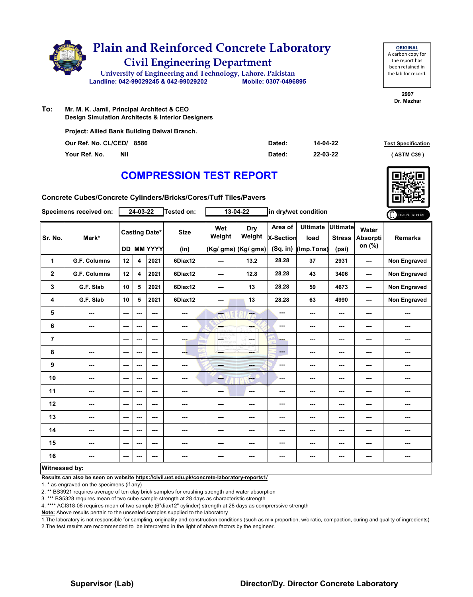

**To: Mr. M. K. Jamil, Principal Architect & CEO Design Simulation Architects & Interior Designers**

**Project: Allied Bank Building Daiwal Branch.**

| Our Ref. No. CL/CED/ 8586 | Dated: | 14-04-22 | <b>Test Specificati</b> |
|---------------------------|--------|----------|-------------------------|
| Your Ref. No.<br>Nil      | Dated: | 22-03-22 | (ASTM C39 )             |

# **COMPRESSION TEST REPORT**

**Concrete Cubes/Concrete Cylinders/Bricks/Cores/Tuff Tiles/Pavers**

|                      | Specimens received on: |      | 24-03-22                |                                           | Tested on:          |                             | 13-04-22                             |                                         | in dry/wet condition                  |                                           |                             | ONLINE REPORT       |
|----------------------|------------------------|------|-------------------------|-------------------------------------------|---------------------|-----------------------------|--------------------------------------|-----------------------------------------|---------------------------------------|-------------------------------------------|-----------------------------|---------------------|
| Sr. No.              | Mark*                  |      |                         | <b>Casting Date*</b><br><b>DD MM YYYY</b> | <b>Size</b><br>(in) | Wet<br>Weight               | Dry<br>Weight<br>(Kg/ gms) (Kg/ gms) | Area of<br><b>X-Section</b><br>(Sq. in) | <b>Ultimate</b><br>load<br>(Imp.Tons) | <b>Ultimate</b><br><b>Stress</b><br>(psi) | Water<br>Absorpti<br>on (%) | <b>Remarks</b>      |
| 1                    | <b>G.F. Columns</b>    | 12   | 4                       | 2021                                      | 6Diax12             | ---                         | 13.2                                 | 28.28                                   | 37                                    | 2931                                      | ---                         | Non Engraved        |
| $\mathbf{2}$         | <b>G.F. Columns</b>    | 12   | $\overline{\mathbf{4}}$ | 2021                                      | 6Diax12             | $--$                        | 12.8                                 | 28.28                                   | 43                                    | 3406                                      | ---                         | Non Engraved        |
| 3                    | G.F. Slab              | 10   | 5                       | 2021                                      | 6Diax12             | ---                         | 13                                   | 28.28                                   | 59                                    | 4673                                      | ---                         | Non Engraved        |
| 4                    | G.F. Slab              | 10   | 5                       | 2021                                      | 6Diax12             | ---                         | 13                                   | 28.28                                   | 63                                    | 4990                                      | ---                         | <b>Non Engraved</b> |
| 5                    | ---                    | ---  | ---                     | ---                                       | ---                 | ---                         | ---                                  | ---                                     | ---                                   | ---                                       | ---                         | ---                 |
| 6                    | ---                    | $--$ | ---                     | ---                                       | ---                 | <b>Albert</b>               | ---                                  | ---                                     | ---                                   | $--$                                      | ---                         | ---                 |
| $\overline{7}$       |                        | ---  | ---                     | ---                                       | ---                 | m.<br>HY<br><b>CORD WHO</b> | a Su<br>in ma                        | ---                                     | ---                                   | ---                                       | ---                         | ---                 |
| 8                    | ---                    | ---  | ---                     | ---                                       | ---                 |                             | ---                                  | ---                                     | ---                                   | $--$                                      | ---                         | ---                 |
| $\boldsymbol{9}$     | ---                    | ---  | ---                     | ---                                       | ---                 | <b>House</b>                | ---                                  | ---                                     | ---                                   | $--$                                      | ---                         | ---                 |
| 10                   | ---                    | ---  | ---                     | ---                                       | ---                 | --                          | <b>Here</b>                          | ---                                     | ---                                   | ---                                       | ---                         | ---                 |
| 11                   | ---                    | ---  | ---                     | ---                                       | ---                 | ---                         | $\sim$ $\sim$                        | ---                                     | ---                                   | ---                                       | ---                         | ---                 |
| 12                   | ---                    | $--$ | ---                     | ---                                       | ---                 | ---                         | ---                                  | ---                                     | ---                                   | ---                                       | ---                         | ---                 |
| 13                   | ---                    | ---  | ---                     | ---                                       | ---                 | ---                         | ---                                  | ---                                     | ---                                   | $--$                                      | ---                         | ---                 |
| 14                   | ---                    | ---  | ---                     | ---                                       | ---                 | ---                         | ---                                  | ---                                     | ---                                   | ---                                       | ---                         | ---                 |
| 15                   | ---                    | ---  | ---                     | ---                                       | ---                 | ---                         | ---                                  | ---                                     | ---                                   | ---                                       | ---                         | ---                 |
| 16                   |                        | ---  |                         | ---                                       | ---                 | ---                         | ---                                  | ---                                     | ---                                   | ---                                       | ---                         | ---                 |
| <b>Witnessed by:</b> |                        |      |                         |                                           |                     |                             |                                      |                                         |                                       |                                           |                             |                     |

### **Witnessed by:**

**Results can also be seen on website https://civil.uet.edu.pk/concrete-laboratory-reports1/**

1. \* as engraved on the specimens (if any)

2. \*\* BS3921 requires average of ten clay brick samples for crushing strength and water absorption

3. \*\*\* BS5328 requires mean of two cube sample strength at 28 days as characteristic strength

4. \*\*\*\* ACI318-08 requires mean of two sample (6"diax12" cylinder) strength at 28 days as comprerssive strength

**Note:** Above results pertain to the unsealed samples supplied to the laboratory

1.The laboratory is not responsible for sampling, originality and construction conditions (such as mix proportion, w/c ratio, compaction, curing and quality of ingredients) 2.The test results are recommended to be interpreted in the light of above factors by the engineer.





**Test Specification** 

**2997 Dr. Mazhar**

**ORIGINAL** A carbon copy for the report has been retained in the lab for record.

### **Supervisor (Lab) Director/Dy. Director Concrete Laboratory**